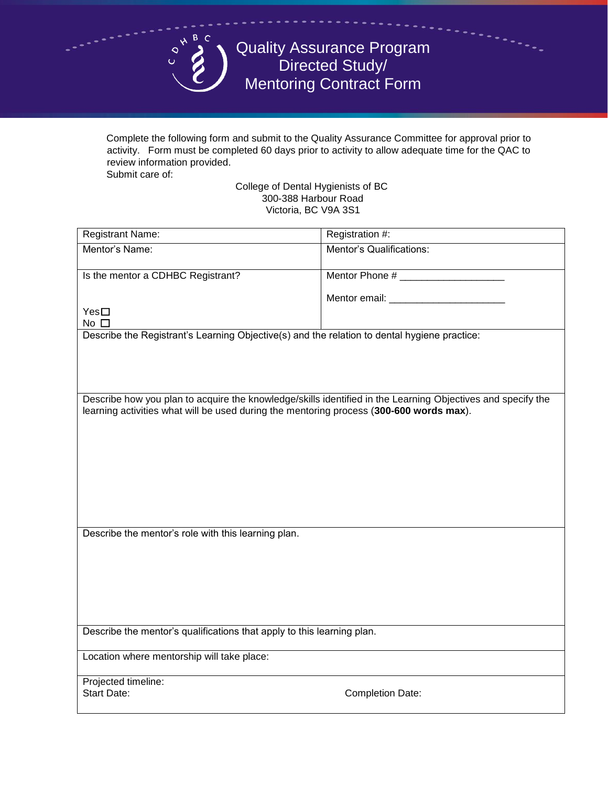

Quality Assurance Program Directed Study/ Mentoring Contract Form

Complete the following form and submit to the Quality Assurance Committee for approval prior to activity. Form must be completed 60 days prior to activity to allow adequate time for the QAC to review information provided.

Submit care of:

College of Dental Hygienists of BC 300-388 Harbour Road Victoria, BC V9A 3S1

| <b>Registrant Name:</b>                                                                                                                                                                                | Registration #:                    |
|--------------------------------------------------------------------------------------------------------------------------------------------------------------------------------------------------------|------------------------------------|
| Mentor's Name:                                                                                                                                                                                         | Mentor's Qualifications:           |
| Is the mentor a CDHBC Registrant?                                                                                                                                                                      |                                    |
|                                                                                                                                                                                                        |                                    |
| $Yes\square$                                                                                                                                                                                           | Mentor email: ____________________ |
| No $\square$                                                                                                                                                                                           |                                    |
| Describe the Registrant's Learning Objective(s) and the relation to dental hygiene practice:                                                                                                           |                                    |
|                                                                                                                                                                                                        |                                    |
|                                                                                                                                                                                                        |                                    |
|                                                                                                                                                                                                        |                                    |
| Describe how you plan to acquire the knowledge/skills identified in the Learning Objectives and specify the<br>learning activities what will be used during the mentoring process (300-600 words max). |                                    |
|                                                                                                                                                                                                        |                                    |
|                                                                                                                                                                                                        |                                    |
|                                                                                                                                                                                                        |                                    |
|                                                                                                                                                                                                        |                                    |
|                                                                                                                                                                                                        |                                    |
|                                                                                                                                                                                                        |                                    |
|                                                                                                                                                                                                        |                                    |
| Describe the mentor's role with this learning plan.                                                                                                                                                    |                                    |
|                                                                                                                                                                                                        |                                    |
|                                                                                                                                                                                                        |                                    |
|                                                                                                                                                                                                        |                                    |
|                                                                                                                                                                                                        |                                    |
|                                                                                                                                                                                                        |                                    |
| Describe the mentor's qualifications that apply to this learning plan.                                                                                                                                 |                                    |
| Location where mentorship will take place:                                                                                                                                                             |                                    |
| Projected timeline:                                                                                                                                                                                    |                                    |
| <b>Start Date:</b>                                                                                                                                                                                     | <b>Completion Date:</b>            |